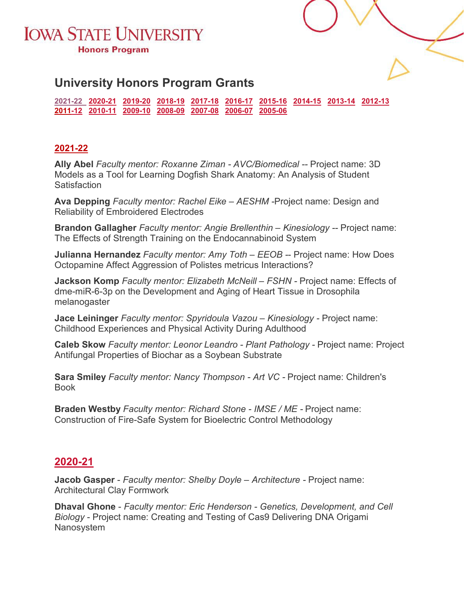



## **University Honors Program Grants**

**[2021-22 2020-21](#page-0-0) [2019-20](#page-1-0) [2018-19](#page-2-0) [2017-18](#page-3-0) [2016-17](#page-4-0) [2015-16](#page-4-1) [2014-15](#page-5-0) [2013-14](#page-5-1) [2012-13](#page-6-0)  [2011-12](#page-6-1) [2010-11](#page-7-0) [2009-10](#page-8-0) [2008-09](#page-9-0) [2007-08](#page-10-0) [2006-07](#page-12-0) [2005-06](#page-13-0)**

### <span id="page-0-0"></span>**[2021-22](#page-0-0)**

**Ally Abel** *Faculty mentor: Roxanne Ziman - AVC/Biomedical --* Project name: 3D Models as a Tool for Learning Dogfish Shark Anatomy: An Analysis of Student **Satisfaction** 

**Ava Depping** *Faculty mentor: Rachel Eike – AESHM -*Project name: Design and Reliability of Embroidered Electrodes

**Brandon Gallagher** *Faculty mentor: Angie Brellenthin – Kinesiology --* Project name: The Effects of Strength Training on the Endocannabinoid System

**Julianna Hernandez** *Faculty mentor: Amy Toth – EEOB -*- Project name: How Does Octopamine Affect Aggression of Polistes metricus Interactions?

**Jackson Komp** *Faculty mentor: Elizabeth McNeill – FSHN -* Project name: Effects of dme-miR-6-3p on the Development and Aging of Heart Tissue in Drosophila melanogaster

**Jace Leininger** *Faculty mentor: Spyridoula Vazou – Kinesiology -* Project name: Childhood Experiences and Physical Activity During Adulthood

**Caleb Skow** *Faculty mentor: Leonor Leandro - Plant Pathology -* Project name: Project Antifungal Properties of Biochar as a Soybean Substrate

**Sara Smiley** *Faculty mentor: Nancy Thompson - Art VC -* Project name: Children's Book

**Braden Westby** *Faculty mentor: Richard Stone - IMSE / ME -* Project name: Construction of Fire-Safe System for Bioelectric Control Methodology

## **2020-21**

**Jacob Gasper** - *Faculty mentor: Shelby Doyle – Architecture -* Project name: Architectural Clay Formwork

**Dhaval Ghone** - *Faculty mentor: Eric Henderson - Genetics, Development, and Cell Biology* - Project name: Creating and Testing of Cas9 Delivering DNA Origami Nanosystem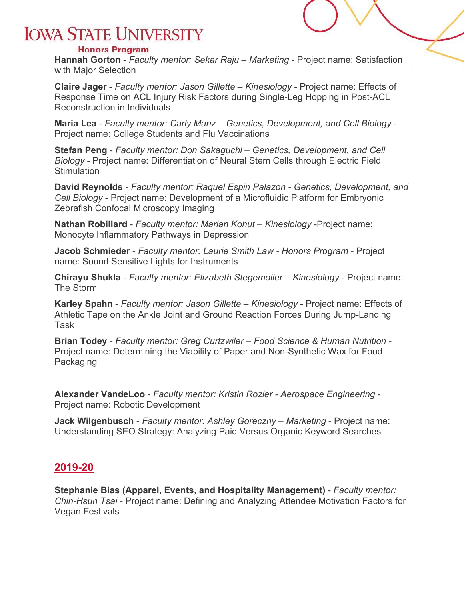#### **Honors Program**

**Hannah Gorton** - *Faculty mentor: Sekar Raju – Marketing* - Project name: Satisfaction with Major Selection

**Claire Jager** - *Faculty mentor: Jason Gillette – Kinesiology* - Project name: Effects of Response Time on ACL Injury Risk Factors during Single-Leg Hopping in Post-ACL Reconstruction in Individuals

**Maria Lea** - *Faculty mentor: Carly Manz – Genetics, Development, and Cell Biology* - Project name: College Students and Flu Vaccinations

**Stefan Peng** - *Faculty mentor: Don Sakaguchi – Genetics, Development, and Cell Biology* - Project name: Differentiation of Neural Stem Cells through Electric Field **Stimulation** 

**David Reynolds** - *Faculty mentor: Raquel Espin Palazon - Genetics, Development, and Cell Biology* - Project name: Development of a Microfluidic Platform for Embryonic Zebrafish Confocal Microscopy Imaging

**Nathan Robillard** - *Faculty mentor: Marian Kohut – Kinesiology* -Project name: Monocyte Inflammatory Pathways in Depression

**Jacob Schmieder** - *Faculty mentor: Laurie Smith Law - Honors Program* - Project name: Sound Sensitive Lights for Instruments

**Chirayu Shukla** - *Faculty mentor: Elizabeth Stegemoller – Kinesiology* - Project name: The Storm

**Karley Spahn** - *Faculty mentor: Jason Gillette – Kinesiology* - Project name: Effects of Athletic Tape on the Ankle Joint and Ground Reaction Forces During Jump-Landing Task

**Brian Todey** - *Faculty mentor: Greg Curtzwiler – Food Science & Human Nutrition* - Project name: Determining the Viability of Paper and Non-Synthetic Wax for Food Packaging

**Alexander VandeLoo** - *Faculty mentor: Kristin Rozier - Aerospace Engineering* - Project name: Robotic Development

**Jack Wilgenbusch** - *Faculty mentor: Ashley Goreczny – Marketing* - Project name: Understanding SEO Strategy: Analyzing Paid Versus Organic Keyword Searches

### <span id="page-1-0"></span>**2019-20**

**Stephanie Bias (Apparel, Events, and Hospitality Management)** - *Faculty mentor: Chin-Hsun Tsai* - Project name: Defining and Analyzing Attendee Motivation Factors for Vegan Festivals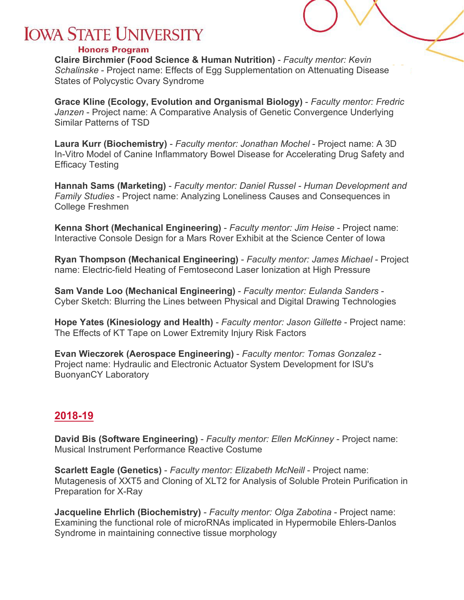#### **Honors Program**

**Claire Birchmier (Food Science & Human Nutrition)** - *Faculty mentor: Kevin Schalinske* - Project name: Effects of Egg Supplementation on Attenuating Disease States of Polycystic Ovary Syndrome

**Grace Kline (Ecology, Evolution and Organismal Biology)** - *Faculty mentor: Fredric Janzen* - Project name: A Comparative Analysis of Genetic Convergence Underlying Similar Patterns of TSD

**Laura Kurr (Biochemistry)** - *Faculty mentor: Jonathan Mochel* - Project name: A 3D In-Vitro Model of Canine Inflammatory Bowel Disease for Accelerating Drug Safety and Efficacy Testing

**Hannah Sams (Marketing)** - *Faculty mentor: Daniel Russel - Human Development and Family Studies* - Project name: Analyzing Loneliness Causes and Consequences in College Freshmen

**Kenna Short (Mechanical Engineering)** - *Faculty mentor: Jim Heise* - Project name: Interactive Console Design for a Mars Rover Exhibit at the Science Center of Iowa

**Ryan Thompson (Mechanical Engineering)** - *Faculty mentor: James Michael* - Project name: Electric-field Heating of Femtosecond Laser Ionization at High Pressure

**Sam Vande Loo (Mechanical Engineering)** - *Faculty mentor: Eulanda Sanders* - Cyber Sketch: Blurring the Lines between Physical and Digital Drawing Technologies

**Hope Yates (Kinesiology and Health)** - *Faculty mentor: Jason Gillette* - Project name: The Effects of KT Tape on Lower Extremity Injury Risk Factors

**Evan Wieczorek (Aerospace Engineering)** - *Faculty mentor: Tomas Gonzalez* - Project name: Hydraulic and Electronic Actuator System Development for ISU's BuonyanCY Laboratory

## <span id="page-2-0"></span>**2018-19**

**David Bis (Software Engineering)** - *Faculty mentor: Ellen McKinney* - Project name: Musical Instrument Performance Reactive Costume

**Scarlett Eagle (Genetics)** - *Faculty mentor: Elizabeth McNeill* - Project name: Mutagenesis of XXT5 and Cloning of XLT2 for Analysis of Soluble Protein Purification in Preparation for X-Ray

**Jacqueline Ehrlich (Biochemistry)** - *Faculty mentor: Olga Zabotina* - Project name: Examining the functional role of microRNAs implicated in Hypermobile Ehlers-Danlos Syndrome in maintaining connective tissue morphology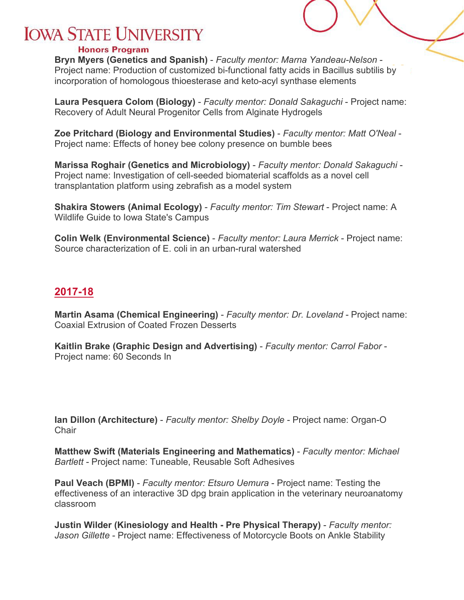#### **Honors Program**

**Bryn Myers (Genetics and Spanish)** - *Faculty mentor: Marna Yandeau-Nelson* - Project name: Production of customized bi-functional fatty acids in Bacillus subtilis by incorporation of homologous thioesterase and keto-acyl synthase elements

**Laura Pesquera Colom (Biology)** - *Faculty mentor: Donald Sakaguchi* - Project name: Recovery of Adult Neural Progenitor Cells from Alginate Hydrogels

**Zoe Pritchard (Biology and Environmental Studies)** - *Faculty mentor: Matt O'Neal* - Project name: Effects of honey bee colony presence on bumble bees

**Marissa Roghair (Genetics and Microbiology)** - *Faculty mentor: Donald Sakaguchi* - Project name: Investigation of cell-seeded biomaterial scaffolds as a novel cell transplantation platform using zebrafish as a model system

**Shakira Stowers (Animal Ecology)** - *Faculty mentor: Tim Stewart* - Project name: A Wildlife Guide to Iowa State's Campus

**Colin Welk (Environmental Science)** - *Faculty mentor: Laura Merrick* - Project name: Source characterization of E. coli in an urban-rural watershed

### <span id="page-3-0"></span>**2017-18**

**Martin Asama (Chemical Engineering)** - *Faculty mentor: Dr. Loveland* - Project name: Coaxial Extrusion of Coated Frozen Desserts

**Kaitlin Brake (Graphic Design and Advertising)** - *Faculty mentor: Carrol Fabor* - Project name: 60 Seconds In

**Ian Dillon (Architecture)** - *Faculty mentor: Shelby Doyle* - Project name: Organ-O **Chair** 

**Matthew Swift (Materials Engineering and Mathematics)** - *Faculty mentor: Michael Bartlett* - Project name: Tuneable, Reusable Soft Adhesives

**Paul Veach (BPMI)** - *Faculty mentor: Etsuro Uemura* - Project name: Testing the effectiveness of an interactive 3D dpg brain application in the veterinary neuroanatomy classroom

**Justin Wilder (Kinesiology and Health - Pre Physical Therapy)** - *Faculty mentor: Jason Gillette* - Project name: Effectiveness of Motorcycle Boots on Ankle Stability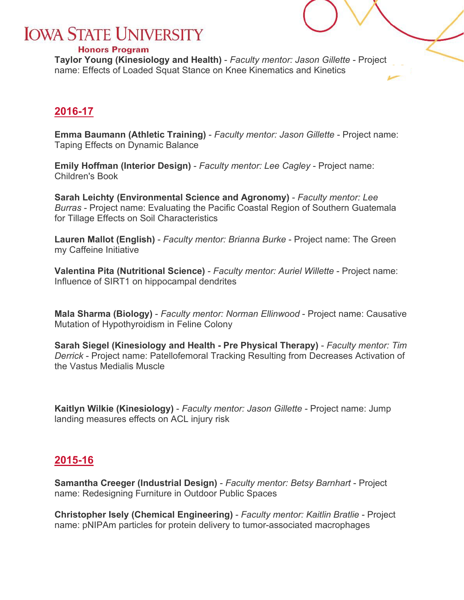#### **Honors Program**

**Taylor Young (Kinesiology and Health)** - *Faculty mentor: Jason Gillette* - Project name: Effects of Loaded Squat Stance on Knee Kinematics and Kinetics

## <span id="page-4-0"></span>**2016-17**

**Emma Baumann (Athletic Training)** - *Faculty mentor: Jason Gillette* - Project name: Taping Effects on Dynamic Balance

**Emily Hoffman (Interior Design)** - *Faculty mentor: Lee Cagley* - Project name: Children's Book

**Sarah Leichty (Environmental Science and Agronomy)** - *Faculty mentor: Lee Burras* - Project name: Evaluating the Pacific Coastal Region of Southern Guatemala for Tillage Effects on Soil Characteristics

**Lauren Mallot (English)** - *Faculty mentor: Brianna Burke* - Project name: The Green my Caffeine Initiative

**Valentina Pita (Nutritional Science)** - *Faculty mentor: Auriel Willette* - Project name: Influence of SIRT1 on hippocampal dendrites

**Mala Sharma (Biology)** - *Faculty mentor: Norman Ellinwood* - Project name: Causative Mutation of Hypothyroidism in Feline Colony

**Sarah Siegel (Kinesiology and Health - Pre Physical Therapy)** - *Faculty mentor: Tim Derrick* - Project name: Patellofemoral Tracking Resulting from Decreases Activation of the Vastus Medialis Muscle

**Kaitlyn Wilkie (Kinesiology)** - *Faculty mentor: Jason Gillette* - Project name: Jump landing measures effects on ACL injury risk

## <span id="page-4-1"></span>**2015-16**

**Samantha Creeger (Industrial Design)** - *Faculty mentor: Betsy Barnhart* - Project name: Redesigning Furniture in Outdoor Public Spaces

**Christopher Isely (Chemical Engineering)** - *Faculty mentor: Kaitlin Bratlie* - Project name: pNIPAm particles for protein delivery to tumor-associated macrophages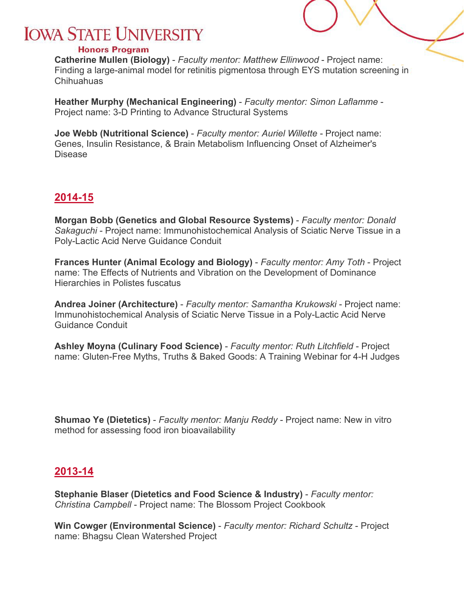#### **Honors Program**

**Catherine Mullen (Biology)** - *Faculty mentor: Matthew Ellinwood* - Project name: Finding a large-animal model for retinitis pigmentosa through EYS mutation screening in Chihuahuas

**Heather Murphy (Mechanical Engineering)** - *Faculty mentor: Simon Laflamme* - Project name: 3-D Printing to Advance Structural Systems

**Joe Webb (Nutritional Science)** - *Faculty mentor: Auriel Willette* - Project name: Genes, Insulin Resistance, & Brain Metabolism Influencing Onset of Alzheimer's Disease

### <span id="page-5-0"></span>**2014-15**

**Morgan Bobb (Genetics and Global Resource Systems)** - *Faculty mentor: Donald Sakaguchi* - Project name: Immunohistochemical Analysis of Sciatic Nerve Tissue in a Poly-Lactic Acid Nerve Guidance Conduit

**Frances Hunter (Animal Ecology and Biology)** - *Faculty mentor: Amy Toth* - Project name: The Effects of Nutrients and Vibration on the Development of Dominance Hierarchies in Polistes fuscatus

**Andrea Joiner (Architecture)** - *Faculty mentor: Samantha Krukowski* - Project name: Immunohistochemical Analysis of Sciatic Nerve Tissue in a Poly-Lactic Acid Nerve Guidance Conduit

**Ashley Moyna (Culinary Food Science)** - *Faculty mentor: Ruth Litchfield* - Project name: Gluten-Free Myths, Truths & Baked Goods: A Training Webinar for 4-H Judges

**Shumao Ye (Dietetics)** - *Faculty mentor: Manju Reddy* - Project name: New in vitro method for assessing food iron bioavailability

### <span id="page-5-1"></span>**2013-14**

**Stephanie Blaser (Dietetics and Food Science & Industry)** - *Faculty mentor: Christina Campbell* - Project name: The Blossom Project Cookbook

**Win Cowger (Environmental Science)** - *Faculty mentor: Richard Schultz* - Project name: Bhagsu Clean Watershed Project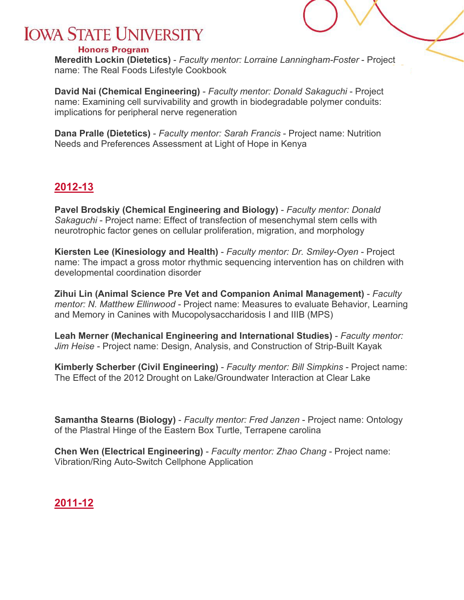#### **Honors Program**

**Meredith Lockin (Dietetics)** - *Faculty mentor: Lorraine Lanningham-Foster* - Project name: The Real Foods Lifestyle Cookbook

**David Nai (Chemical Engineering)** - *Faculty mentor: Donald Sakaguchi* - Project name: Examining cell survivability and growth in biodegradable polymer conduits: implications for peripheral nerve regeneration

**Dana Pralle (Dietetics)** - *Faculty mentor: Sarah Francis* - Project name: Nutrition Needs and Preferences Assessment at Light of Hope in Kenya

## <span id="page-6-0"></span>**2012-13**

**Pavel Brodskiy (Chemical Engineering and Biology)** - *Faculty mentor: Donald Sakaguchi* - Project name: Effect of transfection of mesenchymal stem cells with neurotrophic factor genes on cellular proliferation, migration, and morphology

**Kiersten Lee (Kinesiology and Health)** - *Faculty mentor: Dr. Smiley-Oyen* - Project name: The impact a gross motor rhythmic sequencing intervention has on children with developmental coordination disorder

**Zihui Lin (Animal Science Pre Vet and Companion Animal Management)** - *Faculty mentor: N. Matthew Ellinwood* - Project name: Measures to evaluate Behavior, Learning and Memory in Canines with Mucopolysaccharidosis I and IIIB (MPS)

**Leah Merner (Mechanical Engineering and International Studies)** - *Faculty mentor: Jim Heise* - Project name: Design, Analysis, and Construction of Strip-Built Kayak

**Kimberly Scherber (Civil Engineering)** - *Faculty mentor: Bill Simpkins* - Project name: The Effect of the 2012 Drought on Lake/Groundwater Interaction at Clear Lake

**Samantha Stearns (Biology)** - *Faculty mentor: Fred Janzen* - Project name: Ontology of the Plastral Hinge of the Eastern Box Turtle, Terrapene carolina

**Chen Wen (Electrical Engineering)** - *Faculty mentor: Zhao Chang* - Project name: Vibration/Ring Auto-Switch Cellphone Application

## <span id="page-6-1"></span>**2011-12**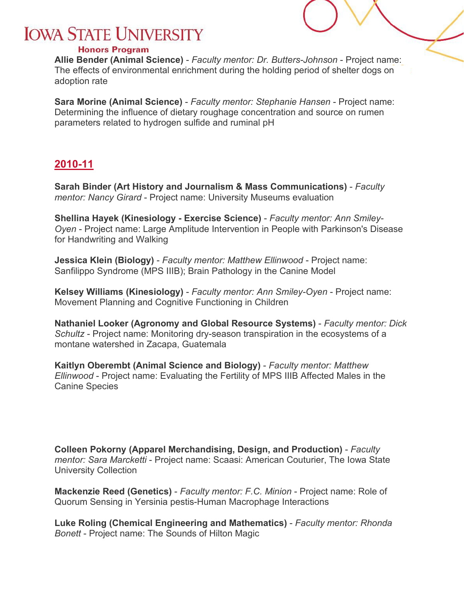#### **Honors Program**

**Allie Bender (Animal Science)** - *Faculty mentor: Dr. Butters-Johnson* - Project name: The effects of environmental enrichment during the holding period of shelter dogs on adoption rate

**Sara Morine (Animal Science)** - *Faculty mentor: Stephanie Hansen* - Project name: Determining the influence of dietary roughage concentration and source on rumen parameters related to hydrogen sulfide and ruminal pH

## <span id="page-7-0"></span>**2010-11**

**Sarah Binder (Art History and Journalism & Mass Communications)** - *Faculty mentor: Nancy Girard* - Project name: University Museums evaluation

**Shellina Hayek (Kinesiology - Exercise Science)** - *Faculty mentor: Ann Smiley-Oyen* - Project name: Large Amplitude Intervention in People with Parkinson's Disease for Handwriting and Walking

**Jessica Klein (Biology)** - *Faculty mentor: Matthew Ellinwood* - Project name: Sanfilippo Syndrome (MPS IIIB); Brain Pathology in the Canine Model

**Kelsey Williams (Kinesiology)** - *Faculty mentor: Ann Smiley-Oyen* - Project name: Movement Planning and Cognitive Functioning in Children

**Nathaniel Looker (Agronomy and Global Resource Systems)** - *Faculty mentor: Dick Schultz* - Project name: Monitoring dry-season transpiration in the ecosystems of a montane watershed in Zacapa, Guatemala

**Kaitlyn Oberembt (Animal Science and Biology)** - *Faculty mentor: Matthew Ellinwood* - Project name: Evaluating the Fertility of MPS IIIB Affected Males in the Canine Species

**Colleen Pokorny (Apparel Merchandising, Design, and Production)** - *Faculty mentor: Sara Marcketti* - Project name: Scaasi: American Couturier, The Iowa State University Collection

**Mackenzie Reed (Genetics)** - *Faculty mentor: F.C. Minion* - Project name: Role of Quorum Sensing in Yersinia pestis-Human Macrophage Interactions

**Luke Roling (Chemical Engineering and Mathematics)** - *Faculty mentor: Rhonda Bonett* - Project name: The Sounds of Hilton Magic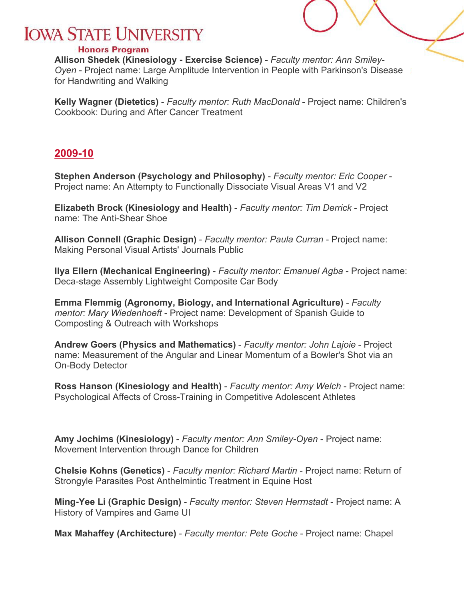#### **Honors Program**

**Allison Shedek (Kinesiology - Exercise Science)** - *Faculty mentor: Ann Smiley-Oyen* - Project name: Large Amplitude Intervention in People with Parkinson's Disease for Handwriting and Walking

**Kelly Wagner (Dietetics)** - *Faculty mentor: Ruth MacDonald* - Project name: Children's Cookbook: During and After Cancer Treatment

### <span id="page-8-0"></span>**2009-10**

**Stephen Anderson (Psychology and Philosophy)** - *Faculty mentor: Eric Cooper* - Project name: An Attempty to Functionally Dissociate Visual Areas V1 and V2

**Elizabeth Brock (Kinesiology and Health)** - *Faculty mentor: Tim Derrick* - Project name: The Anti-Shear Shoe

**Allison Connell (Graphic Design)** - *Faculty mentor: Paula Curran* - Project name: Making Personal Visual Artists' Journals Public

**Ilya Ellern (Mechanical Engineering)** - *Faculty mentor: Emanuel Agba* - Project name: Deca-stage Assembly Lightweight Composite Car Body

**Emma Flemmig (Agronomy, Biology, and International Agriculture)** - *Faculty mentor: Mary Wiedenhoeft* - Project name: Development of Spanish Guide to Composting & Outreach with Workshops

**Andrew Goers (Physics and Mathematics)** - *Faculty mentor: John Lajoie* - Project name: Measurement of the Angular and Linear Momentum of a Bowler's Shot via an On-Body Detector

**Ross Hanson (Kinesiology and Health)** - *Faculty mentor: Amy Welch* - Project name: Psychological Affects of Cross-Training in Competitive Adolescent Athletes

**Amy Jochims (Kinesiology)** - *Faculty mentor: Ann Smiley-Oyen* - Project name: Movement Intervention through Dance for Children

**Chelsie Kohns (Genetics)** - *Faculty mentor: Richard Martin* - Project name: Return of Strongyle Parasites Post Anthelmintic Treatment in Equine Host

**Ming-Yee Li (Graphic Design)** - *Faculty mentor: Steven Herrnstadt* - Project name: A History of Vampires and Game UI

**Max Mahaffey (Architecture)** - *Faculty mentor: Pete Goche* - Project name: Chapel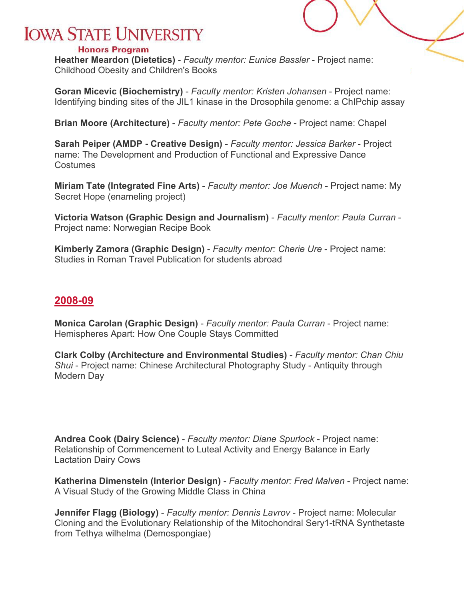#### **Honors Program**

**Heather Meardon (Dietetics)** - *Faculty mentor: Eunice Bassler* - Project name: Childhood Obesity and Children's Books

**Goran Micevic (Biochemistry)** - *Faculty mentor: Kristen Johansen* - Project name: Identifying binding sites of the JIL1 kinase in the Drosophila genome: a ChIPchip assay

**Brian Moore (Architecture)** - *Faculty mentor: Pete Goche* - Project name: Chapel

**Sarah Peiper (AMDP - Creative Design)** - *Faculty mentor: Jessica Barker* - Project name: The Development and Production of Functional and Expressive Dance Costumes

**Miriam Tate (Integrated Fine Arts)** - *Faculty mentor: Joe Muench* - Project name: My Secret Hope (enameling project)

**Victoria Watson (Graphic Design and Journalism)** - *Faculty mentor: Paula Curran* - Project name: Norwegian Recipe Book

**Kimberly Zamora (Graphic Design)** - *Faculty mentor: Cherie Ure* - Project name: Studies in Roman Travel Publication for students abroad

### <span id="page-9-0"></span>**2008-09**

**Monica Carolan (Graphic Design)** - *Faculty mentor: Paula Curran* - Project name: Hemispheres Apart: How One Couple Stays Committed

**Clark Colby (Architecture and Environmental Studies)** - *Faculty mentor: Chan Chiu Shui* - Project name: Chinese Architectural Photography Study - Antiquity through Modern Day

**Andrea Cook (Dairy Science)** - *Faculty mentor: Diane Spurlock* - Project name: Relationship of Commencement to Luteal Activity and Energy Balance in Early Lactation Dairy Cows

**Katherina Dimenstein (Interior Design)** - *Faculty mentor: Fred Malven* - Project name: A Visual Study of the Growing Middle Class in China

**Jennifer Flagg (Biology)** - *Faculty mentor: Dennis Lavrov* - Project name: Molecular Cloning and the Evolutionary Relationship of the Mitochondral Sery1-tRNA Synthetaste from Tethya wilhelma (Demospongiae)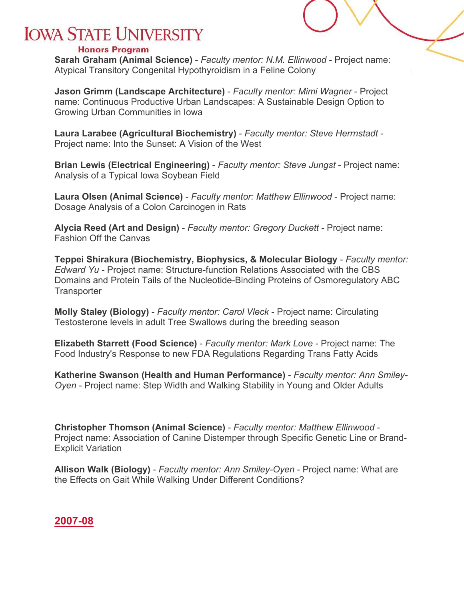#### **Honors Program**

**Sarah Graham (Animal Science)** - *Faculty mentor: N.M. Ellinwood* - Project name: Atypical Transitory Congenital Hypothyroidism in a Feline Colony

**Jason Grimm (Landscape Architecture)** - *Faculty mentor: Mimi Wagner* - Project name: Continuous Productive Urban Landscapes: A Sustainable Design Option to Growing Urban Communities in Iowa

**Laura Larabee (Agricultural Biochemistry)** - *Faculty mentor: Steve Herrnstadt* - Project name: Into the Sunset: A Vision of the West

**Brian Lewis (Electrical Engineering)** - *Faculty mentor: Steve Jungst* - Project name: Analysis of a Typical Iowa Soybean Field

**Laura Olsen (Animal Science)** - *Faculty mentor: Matthew Ellinwood* - Project name: Dosage Analysis of a Colon Carcinogen in Rats

**Alycia Reed (Art and Design)** - *Faculty mentor: Gregory Duckett* - Project name: Fashion Off the Canvas

**Teppei Shirakura (Biochemistry, Biophysics, & Molecular Biology** - *Faculty mentor: Edward Yu* - Project name: Structure-function Relations Associated with the CBS Domains and Protein Tails of the Nucleotide-Binding Proteins of Osmoregulatory ABC **Transporter** 

**Molly Staley (Biology)** - *Faculty mentor: Carol Vleck* - Project name: Circulating Testosterone levels in adult Tree Swallows during the breeding season

**Elizabeth Starrett (Food Science)** - *Faculty mentor: Mark Love* - Project name: The Food Industry's Response to new FDA Regulations Regarding Trans Fatty Acids

**Katherine Swanson (Health and Human Performance)** - *Faculty mentor: Ann Smiley-Oyen* - Project name: Step Width and Walking Stability in Young and Older Adults

**Christopher Thomson (Animal Science)** - *Faculty mentor: Matthew Ellinwood* - Project name: Association of Canine Distemper through Specific Genetic Line or Brand-Explicit Variation

**Allison Walk (Biology)** - *Faculty mentor: Ann Smiley-Oyen* - Project name: What are the Effects on Gait While Walking Under Different Conditions?

### <span id="page-10-0"></span>**2007-08**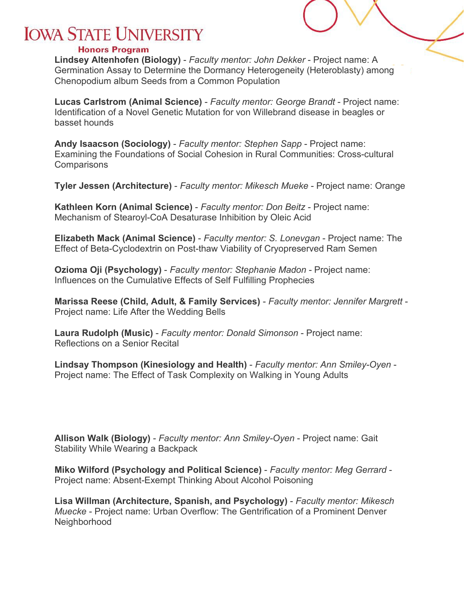#### **Honors Program**

**Lindsey Altenhofen (Biology)** - *Faculty mentor: John Dekker* - Project name: A Germination Assay to Determine the Dormancy Heterogeneity (Heteroblasty) among Chenopodium album Seeds from a Common Population

**Lucas Carlstrom (Animal Science)** - *Faculty mentor: George Brandt* - Project name: Identification of a Novel Genetic Mutation for von Willebrand disease in beagles or basset hounds

**Andy Isaacson (Sociology)** - *Faculty mentor: Stephen Sapp* - Project name: Examining the Foundations of Social Cohesion in Rural Communities: Cross-cultural **Comparisons** 

**Tyler Jessen (Architecture)** - *Faculty mentor: Mikesch Mueke* - Project name: Orange

**Kathleen Korn (Animal Science)** - *Faculty mentor: Don Beitz* - Project name: Mechanism of Stearoyl-CoA Desaturase Inhibition by Oleic Acid

**Elizabeth Mack (Animal Science)** - *Faculty mentor: S. Lonevgan* - Project name: The Effect of Beta-Cyclodextrin on Post-thaw Viability of Cryopreserved Ram Semen

**Ozioma Oji (Psychology)** - *Faculty mentor: Stephanie Madon* - Project name: Influences on the Cumulative Effects of Self Fulfilling Prophecies

**Marissa Reese (Child, Adult, & Family Services)** - *Faculty mentor: Jennifer Margrett* - Project name: Life After the Wedding Bells

**Laura Rudolph (Music)** - *Faculty mentor: Donald Simonson* - Project name: Reflections on a Senior Recital

**Lindsay Thompson (Kinesiology and Health)** - *Faculty mentor: Ann Smiley-Oyen* - Project name: The Effect of Task Complexity on Walking in Young Adults

**Allison Walk (Biology)** - *Faculty mentor: Ann Smiley-Oyen* - Project name: Gait Stability While Wearing a Backpack

**Miko Wilford (Psychology and Political Science)** - *Faculty mentor: Meg Gerrard* - Project name: Absent-Exempt Thinking About Alcohol Poisoning

**Lisa Willman (Architecture, Spanish, and Psychology)** - *Faculty mentor: Mikesch Muecke* - Project name: Urban Overflow: The Gentrification of a Prominent Denver Neighborhood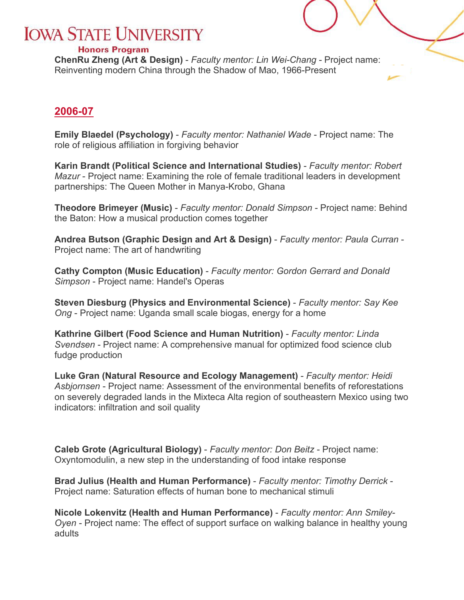#### **Honors Program**

**ChenRu Zheng (Art & Design)** - *Faculty mentor: Lin Wei-Chang* - Project name: Reinventing modern China through the Shadow of Mao, 1966-Present

### <span id="page-12-0"></span>**2006-07**

**Emily Blaedel (Psychology)** - *Faculty mentor: Nathaniel Wade* - Project name: The role of religious affiliation in forgiving behavior

**Karin Brandt (Political Science and International Studies)** - *Faculty mentor: Robert Mazur* - Project name: Examining the role of female traditional leaders in development partnerships: The Queen Mother in Manya-Krobo, Ghana

**Theodore Brimeyer (Music)** - *Faculty mentor: Donald Simpson* - Project name: Behind the Baton: How a musical production comes together

**Andrea Butson (Graphic Design and Art & Design)** - *Faculty mentor: Paula Curran* - Project name: The art of handwriting

**Cathy Compton (Music Education)** - *Faculty mentor: Gordon Gerrard and Donald Simpson* - Project name: Handel's Operas

**Steven Diesburg (Physics and Environmental Science)** - *Faculty mentor: Say Kee Ong* - Project name: Uganda small scale biogas, energy for a home

**Kathrine Gilbert (Food Science and Human Nutrition)** - *Faculty mentor: Linda Svendsen* - Project name: A comprehensive manual for optimized food science club fudge production

**Luke Gran (Natural Resource and Ecology Management)** - *Faculty mentor: Heidi Asbjornsen* - Project name: Assessment of the environmental benefits of reforestations on severely degraded lands in the Mixteca Alta region of southeastern Mexico using two indicators: infiltration and soil quality

**Caleb Grote (Agricultural Biology)** - *Faculty mentor: Don Beitz* - Project name: Oxyntomodulin, a new step in the understanding of food intake response

**Brad Julius (Health and Human Performance)** - *Faculty mentor: Timothy Derrick* - Project name: Saturation effects of human bone to mechanical stimuli

**Nicole Lokenvitz (Health and Human Performance)** - *Faculty mentor: Ann Smiley-Oyen* - Project name: The effect of support surface on walking balance in healthy young adults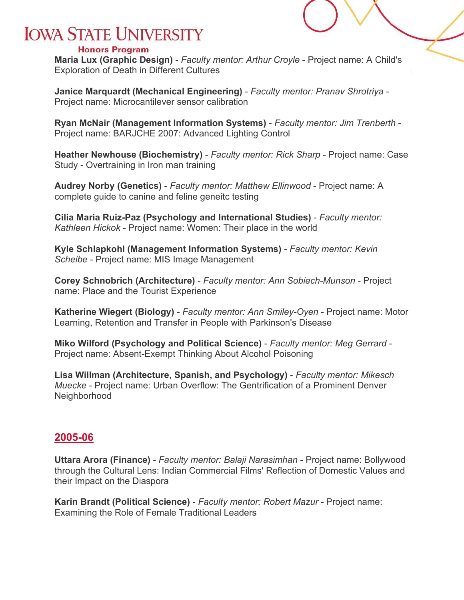#### **Honors Program**

**Maria Lux (Graphic Design)** - *Faculty mentor: Arthur Croyle* - Project name: A Child's Exploration of Death in Different Cultures

**Janice Marquardt (Mechanical Engineering)** - *Faculty mentor: Pranav Shrotriya* - Project name: Microcantilever sensor calibration

**Ryan McNair (Management Information Systems)** - *Faculty mentor: Jim Trenberth* - Project name: BARJCHE 2007: Advanced Lighting Control

**Heather Newhouse (Biochemistry)** - *Faculty mentor: Rick Sharp* - Project name: Case Study - Overtraining in Iron man training

**Audrey Norby (Genetics)** - *Faculty mentor: Matthew Ellinwood* - Project name: A complete guide to canine and feline geneitc testing

**Cilia Maria Ruiz-Paz (Psychology and International Studies)** - *Faculty mentor: Kathleen Hickok* - Project name: Women: Their place in the world

**Kyle Schlapkohl (Management Information Systems)** - *Faculty mentor: Kevin Scheibe* - Project name: MIS Image Management

**Corey Schnobrich (Architecture)** - *Faculty mentor: Ann Sobiech-Munson* - Project name: Place and the Tourist Experience

**Katherine Wiegert (Biology)** - *Faculty mentor: Ann Smiley-Oyen* - Project name: Motor Learning, Retention and Transfer in People with Parkinson's Disease

**Miko Wilford (Psychology and Political Science)** - *Faculty mentor: Meg Gerrard* - Project name: Absent-Exempt Thinking About Alcohol Poisoning

**Lisa Willman (Architecture, Spanish, and Psychology)** - *Faculty mentor: Mikesch Muecke* - Project name: Urban Overflow: The Gentrification of a Prominent Denver Neighborhood

### <span id="page-13-0"></span>**2005-06**

**Uttara Arora (Finance)** - *Faculty mentor: Balaji Narasimhan* - Project name: Bollywood through the Cultural Lens: Indian Commercial Films' Reflection of Domestic Values and their Impact on the Diaspora

**Karin Brandt (Political Science)** - *Faculty mentor: Robert Mazur* - Project name: Examining the Role of Female Traditional Leaders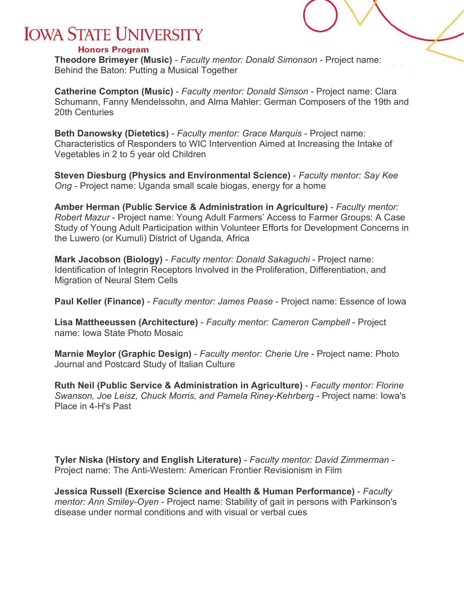#### **Honors Program**

**Theodore Brimeyer (Music)** - *Faculty mentor: Donald Simonson* - Project name: Behind the Baton: Putting a Musical Together

**Catherine Compton (Music)** - *Faculty mentor: Donald Simson* - Project name: Clara Schumann, Fanny Mendelssohn, and Alma Mahler: German Composers of the 19th and 20th Centuries

**Beth Danowsky (Dietetics)** - *Faculty mentor: Grace Marquis* - Project name: Characteristics of Responders to WIC Intervention Aimed at Increasing the Intake of Vegetables in 2 to 5 year old Children

**Steven Diesburg (Physics and Environmental Science)** - *Faculty mentor: Say Kee Ong* - Project name: Uganda small scale biogas, energy for a home

**Amber Herman (Public Service & Administration in Agriculture)** - *Faculty mentor: Robert Mazur* - Project name: Young Adult Farmers' Access to Farmer Groups: A Case Study of Young Adult Participation within Volunteer Efforts for Development Concerns in the Luwero (or Kumuli) District of Uganda, Africa

**Mark Jacobson (Biology)** - *Faculty mentor: Donald Sakaguchi* - Project name: Identification of Integrin Receptors Involved in the Proliferation, Differentiation, and Migration of Neural Stem Cells

**Paul Keller (Finance)** - *Faculty mentor: James Pease* - Project name: Essence of Iowa

**Lisa Mattheeussen (Architecture)** - *Faculty mentor: Cameron Campbell* - Project name: Iowa State Photo Mosaic

**Marnie Meylor (Graphic Design)** - *Faculty mentor: Cherie Ure* - Project name: Photo Journal and Postcard Study of Italian Culture

**Ruth Neil (Public Service & Administration in Agriculture)** - *Faculty mentor: Florine Swanson, Joe Leisz, Chuck Morris, and Pamela Riney-Kehrberg* - Project name: Iowa's Place in 4-H's Past

**Tyler Niska (History and English Literature)** - *Faculty mentor: David Zimmerman* - Project name: The Anti-Western: American Frontier Revisionism in Film

**Jessica Russell (Exercise Science and Health & Human Performance)** - *Faculty mentor: Ann Smiley-Oyen* - Project name: Stability of gait in persons with Parkinson's disease under normal conditions and with visual or verbal cues